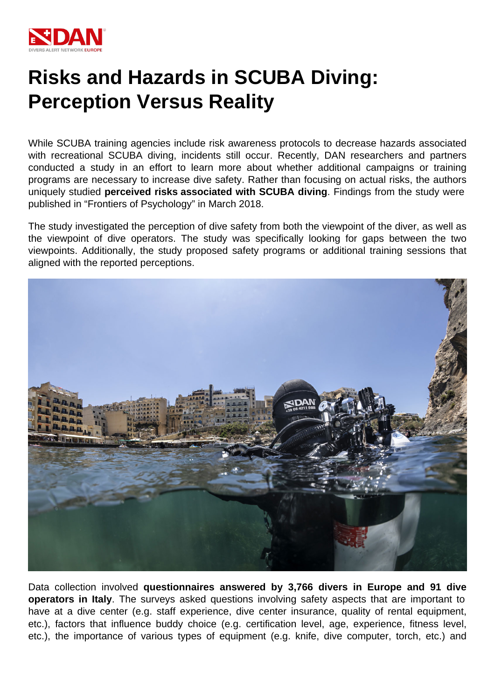

# **Risks and Hazards in SCUBA Diving: Perception Versus Reality**

While SCUBA training agencies include risk awareness protocols to decrease hazards associated with recreational SCUBA diving, incidents still occur. Recently, DAN researchers and partners conducted a study in an effort to learn more about whether additional campaigns or training programs are necessary to increase dive safety. Rather than focusing on actual risks, the authors uniquely studied **perceived risks associated with SCUBA diving**. Findings from the study were published in "Frontiers of Psychology" in March 2018.

The study investigated the perception of dive safety from both the viewpoint of the diver, as well as the viewpoint of dive operators. The study was specifically looking for gaps between the two viewpoints. Additionally, the study proposed safety programs or additional training sessions that aligned with the reported perceptions.



Data collection involved **questionnaires answered by 3,766 divers in Europe and 91 dive operators in Italy**. The surveys asked questions involving safety aspects that are important to have at a dive center (e.g. staff experience, dive center insurance, quality of rental equipment, etc.), factors that influence buddy choice (e.g. certification level, age, experience, fitness level, etc.), the importance of various types of equipment (e.g. knife, dive computer, torch, etc.) and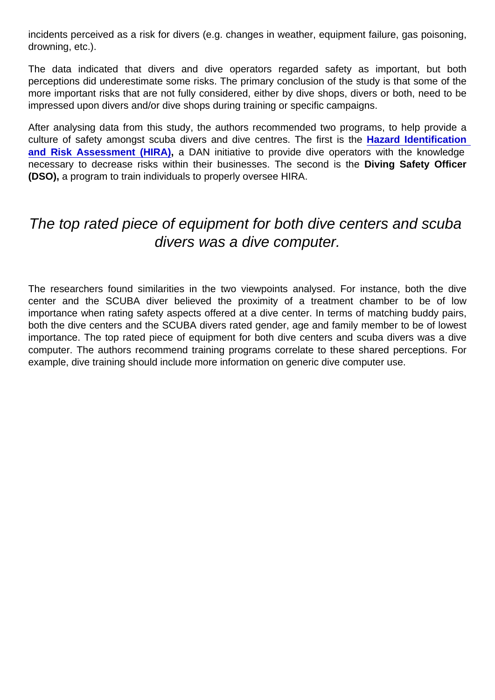incidents perceived as a risk for divers (e.g. changes in weather, equipment failure, gas poisoning, drowning, etc.).

The data indicated that divers and dive operators regarded safety as important, but both perceptions did underestimate some risks. The primary conclusion of the study is that some of the more important risks that are not fully considered, either by dive shops, divers or both, need to be impressed upon divers and/or dive shops during training or specific campaigns.

After analysing data from this study, the authors recommended two programs, to help provide a culture of safety amongst scuba divers and dive centres. The first is the [Hazard Identification](https://www.daneurope.org/web/guest/hira-program)  [and Risk Assessment \(HIRA\)](https://www.daneurope.org/web/guest/hira-program) , a DAN initiative to provide dive operators with the knowledge necessary to decrease risks within their businesses. The second is the Diving Safety Officer (DSO), a program to train individuals to properly oversee HIRA.

## The top rated piece of equipment for both dive centers and scuba divers was a dive computer.

The researchers found similarities in the two viewpoints analysed. For instance, both the dive center and the SCUBA diver believed the proximity of a treatment chamber to be of low importance when rating safety aspects offered at a dive center. In terms of matching buddy pairs, both the dive centers and the SCUBA divers rated gender, age and family member to be of lowest importance. The top rated piece of equipment for both dive centers and scuba divers was a dive computer. The authors recommend training programs correlate to these shared perceptions. For example, dive training should include more information on generic dive computer use.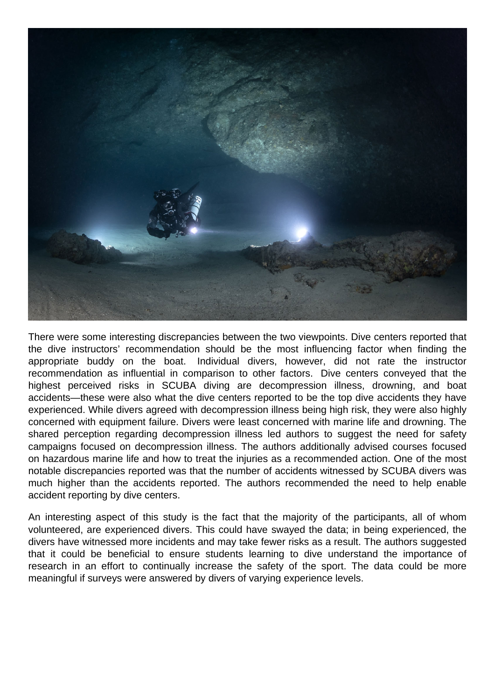

There were some interesting discrepancies between the two viewpoints. Dive centers reported that the dive instructors' recommendation should be the most influencing factor when finding the appropriate buddy on the boat. Individual divers, however, did not rate the instructor recommendation as influential in comparison to other factors. Dive centers conveyed that the highest perceived risks in SCUBA diving are decompression illness, drowning, and boat accidents—these were also what the dive centers reported to be the top dive accidents they have experienced. While divers agreed with decompression illness being high risk, they were also highly concerned with equipment failure. Divers were least concerned with marine life and drowning. The shared perception regarding decompression illness led authors to suggest the need for safety campaigns focused on decompression illness. The authors additionally advised courses focused on hazardous marine life and how to treat the injuries as a recommended action. One of the most notable discrepancies reported was that the number of accidents witnessed by SCUBA divers was much higher than the accidents reported. The authors recommended the need to help enable accident reporting by dive centers.

An interesting aspect of this study is the fact that the majority of the participants, all of whom volunteered, are experienced divers. This could have swayed the data; in being experienced, the divers have witnessed more incidents and may take fewer risks as a result. The authors suggested that it could be beneficial to ensure students learning to dive understand the importance of research in an effort to continually increase the safety of the sport. The data could be more meaningful if surveys were answered by divers of varying experience levels.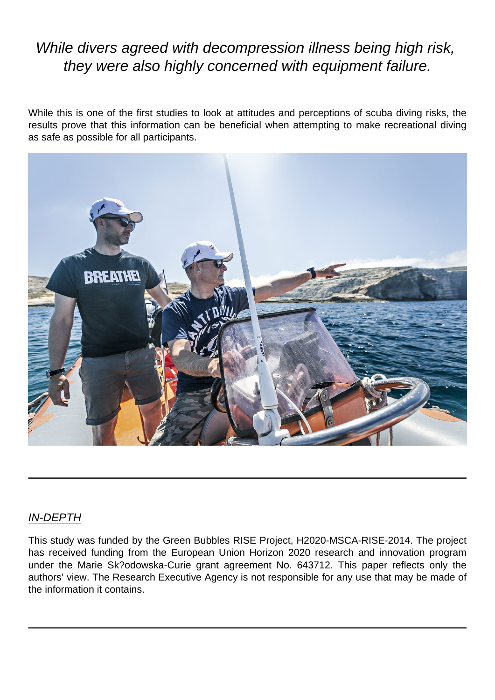## While divers agreed with decompression illness being high risk, they were also highly concerned with equipment failure.

While this is one of the first studies to look at attitudes and perceptions of scuba diving risks, the results prove that this information can be beneficial when attempting to make recreational diving as safe as possible for all participants.



### IN-DEPTH

This study was funded by the Green Bubbles RISE Project, H2020-MSCA-RISE-2014. The project has received funding from the European Union Horizon 2020 research and innovation program under the Marie Sk?odowska-Curie grant agreement No. 643712. This paper reflects only the authors' view. The Research Executive Agency is not responsible for any use that may be made of the information it contains.